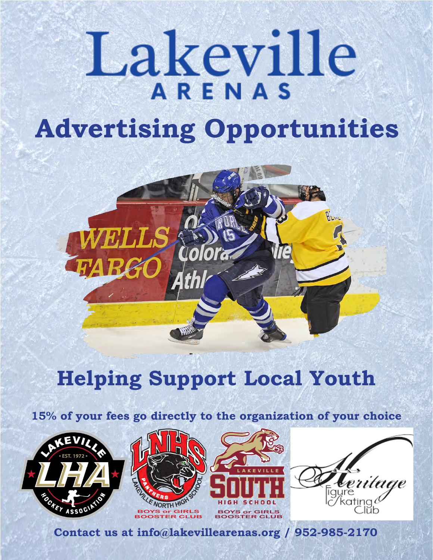# Lakeville **Advertising Opportunities**



# **Helping Support Local Youth**

**15% of your fees go directly to the organization of your choice**









**Contact us at info@lakevillearenas.org / 952-985-2170**